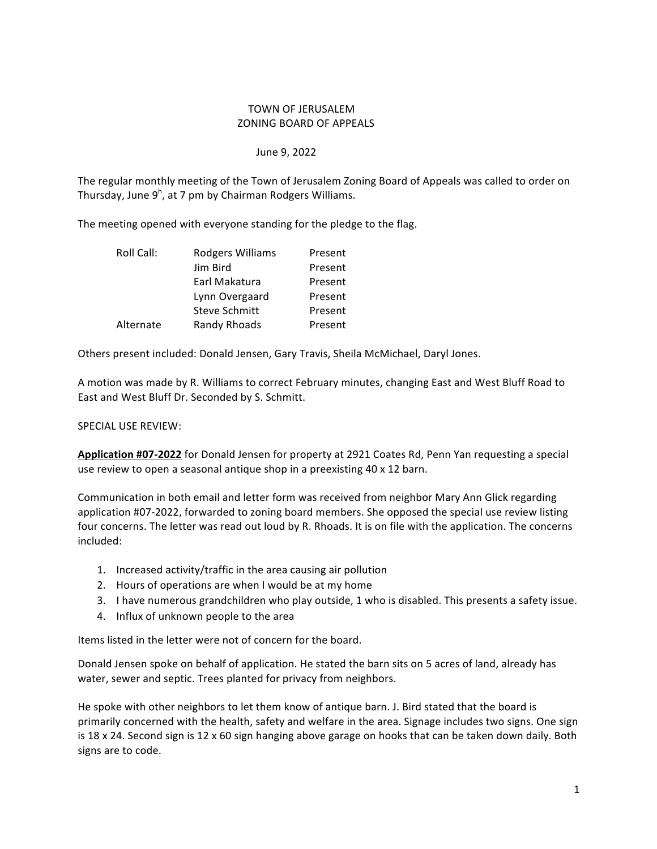## TOWN OF JERUSALEM ZONING BOARD OF APPEALS

## June 9, 2022

The regular monthly meeting of the Town of Jerusalem Zoning Board of Appeals was called to order on Thursday, June 9<sup>h</sup>, at 7 pm by Chairman Rodgers Williams.

The meeting opened with everyone standing for the pledge to the flag.

| Roll Call: | Rodgers Williams     | Present |
|------------|----------------------|---------|
|            | Jim Bird             | Present |
|            | Earl Makatura        | Present |
|            | Lynn Overgaard       | Present |
|            | <b>Steve Schmitt</b> | Present |
| Alternate  | Randy Rhoads         | Present |

Others present included: Donald Jensen, Gary Travis, Sheila McMichael, Daryl Jones.

A motion was made by R. Williams to correct February minutes, changing East and West Bluff Road to East and West Bluff Dr. Seconded by S. Schmitt.

## SPECIAL USE REVIEW:

Application #07-2022 for Donald Jensen for property at 2921 Coates Rd, Penn Yan requesting a special use review to open a seasonal antique shop in a preexisting 40 x 12 barn.

Communication in both email and letter form was received from neighbor Mary Ann Glick regarding application #07-2022, forwarded to zoning board members. She opposed the special use review listing four concerns. The letter was read out loud by R. Rhoads. It is on file with the application. The concerns included:

- 1. Increased activity/traffic in the area causing air pollution
- 2. Hours of operations are when I would be at my home
- 3. I have numerous grandchildren who play outside, 1 who is disabled. This presents a safety issue.
- 4. Influx of unknown people to the area

Items listed in the letter were not of concern for the board.

Donald Jensen spoke on behalf of application. He stated the barn sits on 5 acres of land, already has water, sewer and septic. Trees planted for privacy from neighbors.

He spoke with other neighbors to let them know of antique barn. J. Bird stated that the board is primarily concerned with the health, safety and welfare in the area. Signage includes two signs. One sign is 18 x 24. Second sign is 12 x 60 sign hanging above garage on hooks that can be taken down daily. Both signs are to code.